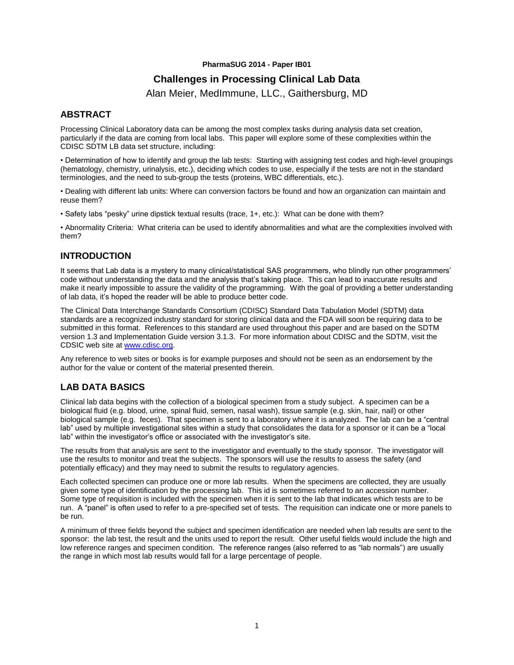#### **PharmaSUG 2014 - Paper IB01**

# **Challenges in Processing Clinical Lab Data**

Alan Meier, MedImmune, LLC., Gaithersburg, MD

## **ABSTRACT**

Processing Clinical Laboratory data can be among the most complex tasks during analysis data set creation, particularly if the data are coming from local labs. This paper will explore some of these complexities within the CDISC SDTM LB data set structure, including:

• Determination of how to identify and group the lab tests: Starting with assigning test codes and high-level groupings (hematology, chemistry, urinalysis, etc.), deciding which codes to use, especially if the tests are not in the standard terminologies, and the need to sub-group the tests (proteins, WBC differentials, etc.).

• Dealing with different lab units: Where can conversion factors be found and how an organization can maintain and reuse them?

• Safety labs "pesky" urine dipstick textual results (trace, 1+, etc.): What can be done with them?

• Abnormality Criteria: What criteria can be used to identify abnormalities and what are the complexities involved with them?

# **INTRODUCTION**

It seems that Lab data is a mystery to many clinical/statistical SAS programmers, who blindly run other programmers' code without understanding the data and the analysis that's taking place. This can lead to inaccurate results and make it nearly impossible to assure the validity of the programming. With the goal of providing a better understanding of lab data, it's hoped the reader will be able to produce better code.

The Clinical Data Interchange Standards Consortium (CDISC) Standard Data Tabulation Model (SDTM) data standards are a recognized industry standard for storing clinical data and the FDA will soon be requiring data to be submitted in this format. References to this standard are used throughout this paper and are based on the SDTM version 1.3 and Implementation Guide version 3.1.3. For more information about CDISC and the SDTM, visit the CDSIC web site at [www.cdisc.org.](http://www.cdisc.org/)

Any reference to web sites or books is for example purposes and should not be seen as an endorsement by the author for the value or content of the material presented therein.

# **LAB DATA BASICS**

Clinical lab data begins with the collection of a biological specimen from a study subject. A specimen can be a biological fluid (e.g. blood, urine, spinal fluid, semen, nasal wash), tissue sample (e.g. skin, hair, nail) or other biological sample (e.g. feces). That specimen is sent to a laboratory where it is analyzed. The lab can be a "central lab" used by multiple investigational sites within a study that consolidates the data for a sponsor or it can be a "local lab" within the investigator's office or associated with the investigator's site.

The results from that analysis are sent to the investigator and eventually to the study sponsor. The investigator will use the results to monitor and treat the subjects. The sponsors will use the results to assess the safety (and potentially efficacy) and they may need to submit the results to regulatory agencies.

Each collected specimen can produce one or more lab results. When the specimens are collected, they are usually given some type of identification by the processing lab. This id is sometimes referred to an accession number. Some type of requisition is included with the specimen when it is sent to the lab that indicates which tests are to be run. A "panel" is often used to refer to a pre-specified set of tests. The requisition can indicate one or more panels to be run.

A minimum of three fields beyond the subject and specimen identification are needed when lab results are sent to the sponsor: the lab test, the result and the units used to report the result. Other useful fields would include the high and low reference ranges and specimen condition. The reference ranges (also referred to as "lab normals") are usually the range in which most lab results would fall for a large percentage of people.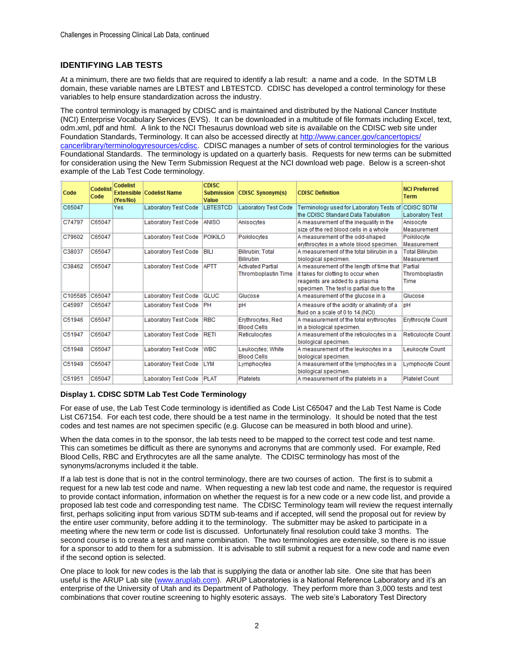### **IDENTIFYING LAB TESTS**

At a minimum, there are two fields that are required to identify a lab result: a name and a code. In the SDTM LB domain, these variable names are LBTEST and LBTESTCD. CDISC has developed a control terminology for these variables to help ensure standardization across the industry.

The control terminology is managed by CDISC and is maintained and distributed by the National Cancer Institute (NCI) Enterprise Vocabulary Services (EVS). It can be downloaded in a multitude of file formats including Excel, text, odm.xml, pdf and html. A link to the NCI Thesaurus download web site is available on the CDISC web site under Foundation Standards, Terminology. It can also be accessed directly at http://www.cancer.gov/cancertopics/ cancerlibrary/terminologyresources/cdisc. CDISC manages a number of sets of control terminologies for the various Foundational Standards. The terminology is updated on a quarterly basis. Requests for new terms can be submitted for consideration using the New Term Submission Request at the NCI download web page. Below is a screen-shot example of the Lab Test Code terminology.

| Code    | Codelist<br>Code | <b>Codelist</b><br>(Yes/No) | <b>Extensible Codelist Name</b> | CDISC.<br><b>Submission</b><br>Value | <b>CDISC Synonym(s)</b>  | <b>CDISC Definition</b>                          | <b>NCI Preferred</b><br><b>Term</b> |
|---------|------------------|-----------------------------|---------------------------------|--------------------------------------|--------------------------|--------------------------------------------------|-------------------------------------|
| C65047  |                  | Yes                         | Laboratory Test Code            | <b>LBTESTCD</b>                      | Laboratory Test Code     | Terminology used for Laboratory Tests of         | <b>CDISC SDTM</b>                   |
|         |                  |                             |                                 |                                      |                          | the CDISC Standard Data Tabulation               | <b>Laboratory Test</b>              |
| C74797  | C65047           |                             | <b>Laboratory Test Code</b>     | <b>ANISO</b>                         | Anisocytes               | A measurement of the inequality in the           | Anisocyte                           |
|         |                  |                             |                                 |                                      |                          | size of the red blood cells in a whole           | Measurement                         |
| C79602  | C65047           |                             | Laboratory Test Code            | <b>POIKILO</b>                       | Poikilocytes             | A measurement of the odd-shaped                  | Poikilocyte                         |
|         |                  |                             |                                 |                                      |                          | erythrocytes in a whole blood specimen.          | Measurement                         |
| C38037  | C65047           |                             | Laboratory Test Code            | BILI                                 | Bilirubin; Total         | A measurement of the total bilirubin in a        | <b>Total Bilirubin</b>              |
|         |                  |                             |                                 |                                      | <b>Bilirubin</b>         | biological specimen.                             | Measurement                         |
| C38462  | C65047           |                             | Laboratory Test Code            | <b>APTT</b>                          | <b>Activated Partial</b> | A measurement of the length of time that Partial |                                     |
|         |                  |                             |                                 |                                      | Thromboplastin Time      | it takes for clotting to occur when              | Thromboplastin                      |
|         |                  |                             |                                 |                                      |                          | reagents are added to a plasma                   | Time                                |
|         |                  |                             |                                 |                                      |                          | specimen. The test is partial due to the         |                                     |
| C105585 | C65047           |                             | <b>Laboratory Test Code</b>     | <b>GLUC</b>                          | Glucose                  | A measurement of the glucose in a                | Glucose                             |
| C45997  | C65047           |                             | Laboratory Test Code            | PH                                   | pH                       | A measure of the acidity or alkalinity of a      | pΗ                                  |
|         |                  |                             |                                 |                                      |                          | fluid on a scale of 0 to 14.(NCI)                |                                     |
| C51946  | C65047           |                             | <b>Laboratory Test Code</b>     | <b>RBC</b>                           | Erythrocytes; Red        | A measurement of the total erythrocytes          | <b>Erythrocyte Count</b>            |
|         |                  |                             |                                 |                                      | <b>Blood Cells</b>       | in a biological specimen.                        |                                     |
| C51947  | C65047           |                             | Laboratory Test Code            | <b>RETI</b>                          | Reticulocytes            | A measurement of the reticulocytes in a          | <b>Reticulocyte Count</b>           |
|         |                  |                             |                                 |                                      |                          | biological specimen.                             |                                     |
| C51948  | C65047           |                             | Laboratory Test Code            | <b>WBC</b>                           | Leukocytes; White        | A measurement of the leukocytes in a             | Leukocyte Count                     |
|         |                  |                             |                                 |                                      | <b>Blood Cells</b>       | biological specimen.                             |                                     |
| C51949  | C65047           |                             | Laboratory Test Code            | <b>LYM</b>                           | Lymphocytes              | A measurement of the lymphocytes in a            | Lymphocyte Count                    |
|         |                  |                             |                                 |                                      |                          | biological specimen.                             |                                     |
| C51951  | C65047           |                             | Laboratory Test Code            | <b>PLAT</b>                          | <b>Platelets</b>         | A measurement of the platelets in a              | <b>Platelet Count</b>               |

#### **Display 1. CDISC SDTM Lab Test Code Terminology**

For ease of use, the Lab Test Code terminology is identified as Code List C65047 and the Lab Test Name is Code List C67154. For each test code, there should be a test name in the terminology. It should be noted that the test codes and test names are not specimen specific (e.g. Glucose can be measured in both blood and urine).

When the data comes in to the sponsor, the lab tests need to be mapped to the correct test code and test name. This can sometimes be difficult as there are synonyms and acronyms that are commonly used. For example, Red Blood Cells, RBC and Erythrocytes are all the same analyte. The CDISC terminology has most of the synonyms/acronyms included it the table.

If a lab test is done that is not in the control terminology, there are two courses of action. The first is to submit a request for a new lab test code and name. When requesting a new lab test code and name, the requestor is required to provide contact information, information on whether the request is for a new code or a new code list, and provide a proposed lab test code and corresponding test name. The CDISC Terminology team will review the request internally first, perhaps soliciting input from various SDTM sub-teams and if accepted, will send the proposal out for review by the entire user community, before adding it to the terminology. The submitter may be asked to participate in a meeting where the new term or code list is discussed. Unfortunately final resolution could take 3 months. The second course is to create a test and name combination. The two terminologies are extensible, so there is no issue for a sponsor to add to them for a submission. It is advisable to still submit a request for a new code and name even if the second option is selected.

One place to look for new codes is the lab that is supplying the data or another lab site. One site that has been useful is the ARUP Lab site (www.aruplab.com). ARUP Laboratories is a National Reference Laboratory and it's an enterprise of the University of Utah and its Department of Pathology. They perform more than 3,000 tests and test combinations that cover routine screening to highly esoteric assays. The web site's Laboratory Test Directory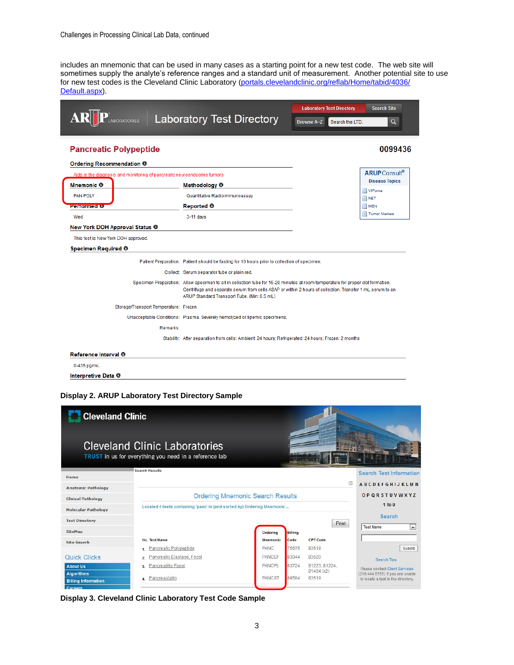includes an mnemonic that can be used in many cases as a starting point for a new test code. The web site will sometimes supply the analyte's reference ranges and a standard unit of measurement. Another potential site to use for new test codes is the Cleveland Clinic Laboratory (portals.clevelandclinic.org/reflab/Home/tabid/4036/ Default.aspx).

|                                                                                                |                                                                                                                                                                                                                                                                                            | <b>Search Site</b><br><b>Laboratory Test Directory</b> |                 |                                                           |
|------------------------------------------------------------------------------------------------|--------------------------------------------------------------------------------------------------------------------------------------------------------------------------------------------------------------------------------------------------------------------------------------------|--------------------------------------------------------|-----------------|-----------------------------------------------------------|
| LABORATORIES                                                                                   | <b>Laboratory Test Directory</b>                                                                                                                                                                                                                                                           | <b>Browse A-Z</b>                                      | Search the LTD. | $\alpha$                                                  |
| <b>Pancreatic Polypeptide</b>                                                                  |                                                                                                                                                                                                                                                                                            |                                                        |                 | 0099436                                                   |
| Ordering Recommendation ®                                                                      |                                                                                                                                                                                                                                                                                            |                                                        |                 |                                                           |
| Aids in the diagnosis and monitoring of pancreatic neuroendocrine tumors.<br><b>Mnemonic O</b> | Methodology <sup>®</sup>                                                                                                                                                                                                                                                                   |                                                        |                 | <b>ARUP</b> Consult <sup>®</sup><br><b>Disease Topics</b> |
| <b>PAN POLY</b><br><b>Performed O</b>                                                          | Quantitative Radioimmunoassay<br>Reported <sup>O</sup>                                                                                                                                                                                                                                     |                                                        |                 | VIPoma<br><b>NET</b><br><b>MEN</b>                        |
| Wed                                                                                            | $3-11$ days                                                                                                                                                                                                                                                                                |                                                        |                 | <b>Tumor Markers</b>                                      |
| New York DOH Approval Status <sup>®</sup>                                                      |                                                                                                                                                                                                                                                                                            |                                                        |                 |                                                           |
| Specimen Required <sup>®</sup>                                                                 | Patient Preparation: Patient should be fasting for 10 hours prior to collection of specimen.                                                                                                                                                                                               |                                                        |                 |                                                           |
|                                                                                                | Collect: Serum separator tube or plain red.                                                                                                                                                                                                                                                |                                                        |                 |                                                           |
|                                                                                                | Specimen Preparation: Allow specimen to sit in collection tube for 15-20 minutes at room temperature for proper clot formation.<br>Centrifuge and separate serum from cells ASAP or within 2 hours of collection. Transfer 1 mL serum to an<br>ARUP Standard Transport Tube. (Min: 0.5 mL) |                                                        |                 |                                                           |
| Storage/Transport Temperature: Frozen.                                                         |                                                                                                                                                                                                                                                                                            |                                                        |                 |                                                           |
|                                                                                                | Unacceptable Conditions: Plasma. Severely hemolyzed or lipemic specimens.                                                                                                                                                                                                                  |                                                        |                 |                                                           |
| Remarks:                                                                                       |                                                                                                                                                                                                                                                                                            |                                                        |                 |                                                           |
|                                                                                                | Stability: After separation from cells: Ambient: 24 hours; Refrigerated: 24 hours; Frozen: 2 months                                                                                                                                                                                        |                                                        |                 |                                                           |
| Reference Interval <sup>®</sup>                                                                |                                                                                                                                                                                                                                                                                            |                                                        |                 |                                                           |
| 0-435 pg/mL                                                                                    |                                                                                                                                                                                                                                                                                            |                                                        |                 |                                                           |
| Interpretive Data ®                                                                            |                                                                                                                                                                                                                                                                                            |                                                        |                 |                                                           |

### **Display 2. ARUP Laboratory Test Directory Sample**

| <b>Cleveland Clinic</b>              |                                                                                                |                 |                |                             |                                                                    |  |  |  |
|--------------------------------------|------------------------------------------------------------------------------------------------|-----------------|----------------|-----------------------------|--------------------------------------------------------------------|--|--|--|
|                                      | <b>Cleveland Clinic Laboratories</b><br>TRUST in us for everything you need in a reference lab |                 |                |                             |                                                                    |  |  |  |
| Home                                 | Search Results                                                                                 |                 |                |                             | <b>Search Test Information</b>                                     |  |  |  |
| <b>Anatomic Pathology</b>            |                                                                                                |                 |                | $\Box$                      | <b>ABCDFFGHIJKLMN</b>                                              |  |  |  |
| <b>Clinical Pathology</b>            | <b>Ordering Mnemonic Search Results</b>                                                        |                 |                |                             |                                                                    |  |  |  |
| <b>Molecular Pathology</b>           | Located 4 tests containing 'panc' in (and sorted by) Ordering Mnemonic                         |                 |                |                             | $1$ To $9$                                                         |  |  |  |
| <b>Test Directory</b>                |                                                                                                |                 |                |                             | Search                                                             |  |  |  |
| <b>SiteMap</b>                       |                                                                                                | Ordering        | <b>Billing</b> | Print                       | <b>Test Name</b><br>$\overline{ }$                                 |  |  |  |
| <b>Site Search</b>                   | No. Test Name                                                                                  | <b>Mnemonic</b> | Code           | CPT Code                    |                                                                    |  |  |  |
|                                      | Pancreatic Polypeptide<br>1                                                                    | <b>PANC</b>     | 75675          | 83519                       | Submit                                                             |  |  |  |
| Quick Clicks                         | Pancreatic Elastase, Fecal<br>2.                                                               | PANCEF          | 83044          | 83520                       | Search Tips                                                        |  |  |  |
| <b>About Us</b><br><b>Algorithms</b> | Pancreatitis Panel<br>3.                                                                       | PANCPL          | 83724          | 81223, 81224,<br>81404 (x2) | Please contact Client Services<br>(216.444.5755) if you are unable |  |  |  |
| <b>Billing Information</b>           | Pancreastatin<br>$\Delta$                                                                      | PANCST          | 88584          | 83519                       | to locate a test in the directory.                                 |  |  |  |
| Careers                              |                                                                                                |                 |                |                             |                                                                    |  |  |  |

**Display 3. Cleveland Clinic Laboratory Test Code Sample**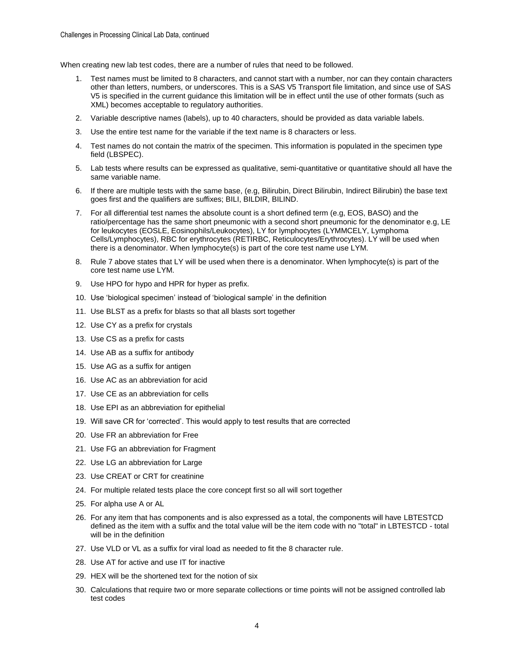When creating new lab test codes, there are a number of rules that need to be followed.

- 1. Test names must be limited to 8 characters, and cannot start with a number, nor can they contain characters other than letters, numbers, or underscores. This is a SAS V5 Transport file limitation, and since use of SAS V5 is specified in the current guidance this limitation will be in effect until the use of other formats (such as XML) becomes acceptable to regulatory authorities.
- 2. Variable descriptive names (labels), up to 40 characters, should be provided as data variable labels.
- 3. Use the entire test name for the variable if the text name is 8 characters or less.
- 4. Test names do not contain the matrix of the specimen. This information is populated in the specimen type field (LBSPEC).
- 5. Lab tests where results can be expressed as qualitative, semi-quantitative or quantitative should all have the same variable name.
- 6. If there are multiple tests with the same base, (e.g, Bilirubin, Direct Bilirubin, Indirect Bilirubin) the base text goes first and the qualifiers are suffixes; BILI, BILDIR, BILIND.
- 7. For all differential test names the absolute count is a short defined term (e.g, EOS, BASO) and the ratio/percentage has the same short pneumonic with a second short pneumonic for the denominator e.g, LE for leukocytes (EOSLE, Eosinophils/Leukocytes), LY for lymphocytes (LYMMCELY, Lymphoma Cells/Lymphocytes), RBC for erythrocytes (RETIRBC, Reticulocytes/Erythrocytes). LY will be used when there is a denominator. When lymphocyte(s) is part of the core test name use LYM.
- 8. Rule 7 above states that LY will be used when there is a denominator. When lymphocyte(s) is part of the core test name use LYM.
- 9. Use HPO for hypo and HPR for hyper as prefix.
- 10. Use 'biological specimen' instead of 'biological sample' in the definition
- 11. Use BLST as a prefix for blasts so that all blasts sort together
- 12. Use CY as a prefix for crystals
- 13. Use CS as a prefix for casts
- 14. Use AB as a suffix for antibody
- 15. Use AG as a suffix for antigen
- 16. Use AC as an abbreviation for acid
- 17. Use CE as an abbreviation for cells
- 18. Use EPI as an abbreviation for epithelial
- 19. Will save CR for 'corrected'. This would apply to test results that are corrected
- 20. Use FR an abbreviation for Free
- 21. Use FG an abbreviation for Fragment
- 22. Use LG an abbreviation for Large
- 23. Use CREAT or CRT for creatinine
- 24. For multiple related tests place the core concept first so all will sort together
- 25. For alpha use A or AL
- 26. For any item that has components and is also expressed as a total, the components will have LBTESTCD defined as the item with a suffix and the total value will be the item code with no "total" in LBTESTCD - total will be in the definition
- 27. Use VLD or VL as a suffix for viral load as needed to fit the 8 character rule.
- 28. Use AT for active and use IT for inactive
- 29. HEX will be the shortened text for the notion of six
- 30. Calculations that require two or more separate collections or time points will not be assigned controlled lab test codes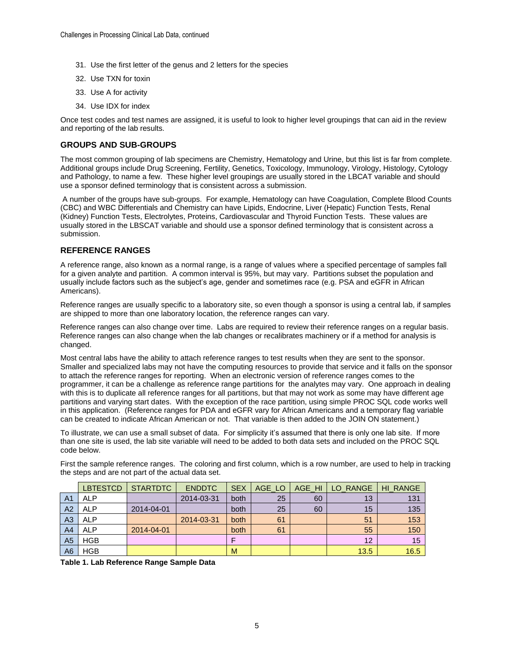- 31. Use the first letter of the genus and 2 letters for the species
- 32. Use TXN for toxin
- 33. Use A for activity
- 34. Use IDX for index

Once test codes and test names are assigned, it is useful to look to higher level groupings that can aid in the review and reporting of the lab results.

#### **GROUPS AND SUB-GROUPS**

The most common grouping of lab specimens are Chemistry, Hematology and Urine, but this list is far from complete. Additional groups include Drug Screening, Fertility, Genetics, Toxicology, Immunology, Virology, Histology, Cytology and Pathology, to name a few. These higher level groupings are usually stored in the LBCAT variable and should use a sponsor defined terminology that is consistent across a submission.

A number of the groups have sub-groups. For example, Hematology can have Coagulation, Complete Blood Counts (CBC) and WBC Differentials and Chemistry can have Lipids, Endocrine, Liver (Hepatic) Function Tests, Renal (Kidney) Function Tests, Electrolytes, Proteins, Cardiovascular and Thyroid Function Tests. These values are usually stored in the LBSCAT variable and should use a sponsor defined terminology that is consistent across a submission.

### **REFERENCE RANGES**

A reference range, also known as a normal range, is a range of values where a specified percentage of samples fall for a given analyte and partition. A common interval is 95%, but may vary. Partitions subset the population and usually include factors such as the subject's age, gender and sometimes race (e.g. PSA and eGFR in African Americans).

Reference ranges are usually specific to a laboratory site, so even though a sponsor is using a central lab, if samples are shipped to more than one laboratory location, the reference ranges can vary.

Reference ranges can also change over time. Labs are required to review their reference ranges on a regular basis. Reference ranges can also change when the lab changes or recalibrates machinery or if a method for analysis is changed.

Most central labs have the ability to attach reference ranges to test results when they are sent to the sponsor. Smaller and specialized labs may not have the computing resources to provide that service and it falls on the sponsor to attach the reference ranges for reporting. When an electronic version of reference ranges comes to the programmer, it can be a challenge as reference range partitions for the analytes may vary. One approach in dealing with this is to duplicate all reference ranges for all partitions, but that may not work as some may have different age partitions and varying start dates. With the exception of the race partition, using simple PROC SQL code works well in this application. (Reference ranges for PDA and eGFR vary for African Americans and a temporary flag variable can be created to indicate African American or not. That variable is then added to the JOIN ON statement.)

To illustrate, we can use a small subset of data. For simplicity it's assumed that there is only one lab site. If more than one site is used, the lab site variable will need to be added to both data sets and included on the PROC SQL code below.

First the sample reference ranges. The coloring and first column, which is a row number, are used to help in tracking the steps and are not part of the actual data set.

|                | <b>LBTESTCD</b> | <b>STARTDTC</b> | <b>ENDDTC</b> | <b>SEX</b> | AGE LO | AGE HI | LO RANGE | <b>HI RANGE</b> |
|----------------|-----------------|-----------------|---------------|------------|--------|--------|----------|-----------------|
| A <sub>1</sub> | <b>ALP</b>      |                 | 2014-03-31    | both       | 25     | 60     | 13       | 131             |
| A <sub>2</sub> | <b>ALP</b>      | 2014-04-01      |               | both       | 25     | 60     | 15       | 135             |
| A <sub>3</sub> | <b>ALP</b>      |                 | 2014-03-31    | both       | 61     |        | 51       | 153             |
| A <sub>4</sub> | <b>ALP</b>      | 2014-04-01      |               | both       | 61     |        | 55       | 150             |
| A <sub>5</sub> | <b>HGB</b>      |                 |               |            |        |        | 12       | 15              |
| A <sub>6</sub> | <b>HGB</b>      |                 |               | M          |        |        | 13.5     | 16.5            |

**Table 1. Lab Reference Range Sample Data**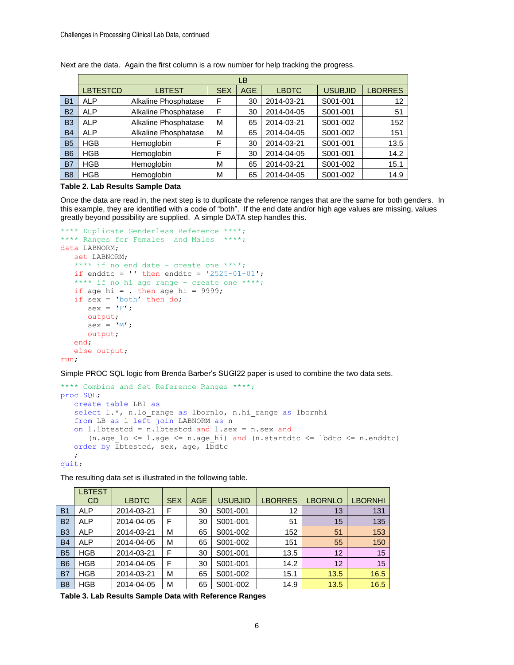|                |                 |                      |            | LВ         |              |                |                |
|----------------|-----------------|----------------------|------------|------------|--------------|----------------|----------------|
|                | <b>LBTESTCD</b> | <b>LBTEST</b>        | <b>SEX</b> | <b>AGE</b> | <b>LBDTC</b> | <b>USUBJID</b> | <b>LBORRES</b> |
| B <sub>1</sub> | <b>ALP</b>      | Alkaline Phosphatase | F          | 30         | 2014-03-21   | S001-001       | 12             |
| <b>B2</b>      | <b>ALP</b>      | Alkaline Phosphatase | F          | 30         | 2014-04-05   | S001-001       | 51             |
| <b>B3</b>      | <b>ALP</b>      | Alkaline Phosphatase | м          | 65         | 2014-03-21   | S001-002       | 152            |
| <b>B4</b>      | <b>ALP</b>      | Alkaline Phosphatase | М          | 65         | 2014-04-05   | S001-002       | 151            |
| <b>B5</b>      | <b>HGB</b>      | Hemoglobin           | F          | 30         | 2014-03-21   | S001-001       | 13.5           |
| <b>B6</b>      | <b>HGB</b>      | Hemoglobin           | F          | 30         | 2014-04-05   | S001-001       | 14.2           |
| <b>B7</b>      | <b>HGB</b>      | Hemoglobin           | м          | 65         | 2014-03-21   | S001-002       | 15.1           |
| B <sub>8</sub> | <b>HGB</b>      | Hemoglobin           | M          | 65         | 2014-04-05   | S001-002       | 14.9           |

Next are the data. Again the first column is a row number for help tracking the progress.

#### **Table 2. Lab Results Sample Data**

Once the data are read in, the next step is to duplicate the reference ranges that are the same for both genders. In this example, they are identified with a code of "both". If the end date and/or high age values are missing, values greatly beyond possibility are supplied. A simple DATA step handles this.

```
**** Duplicate Genderless Reference ****;
**** Ranges for Females and Males ****;
data LABNORM;
    set LABNORM;
   **** if no end date - create one ****;
  if enddtc = '' then enddtc = '2525-01-01';
   **** if no hi age range - create one ****;
   if age hi = . then age hi = 9999;
   if sex = 'both' then do;
     sex = 'F';
      output;
     sex = 'M'; output;
    end;
    else output;
run;
```
Simple PROC SQL logic from Brenda Barber's SUGI22 paper is used to combine the two data sets.

```
**** Combine and Set Reference Ranges ****;
proc SQL;
   create table LB1 as
select 1.*, n.lo range as lbornlo, n.hi_range as lbornhi
 from LB as l left join LABNORM as n
    on l.lbtestcd = n.lbtestcd and l.sex = n.sex and
      (n.age lo \leq 1.age \leq n.age hi) and (n.startdtc \leq lbdtc \leq n.enddtc)
   order by Ibtestcd, sex, age, lbdtc
\mathcal{L}quit;
```
The resulting data set is illustrated in the following table.

|                | <b>LBTEST</b><br><b>CD</b> | <b>LBDTC</b> | <b>SEX</b> | <b>AGE</b> | <b>USUBJID</b> | <b>LBORRES</b> | <b>LBORNLO</b> | <b>LBORNHI</b> |
|----------------|----------------------------|--------------|------------|------------|----------------|----------------|----------------|----------------|
| <b>B1</b>      | <b>ALP</b>                 | 2014-03-21   | F          | 30         | S001-001       | 12             | 13             | 131            |
| <b>B2</b>      | <b>ALP</b>                 | 2014-04-05   | F          | 30         | S001-001       | 51             | 15             | 135            |
| B <sub>3</sub> | <b>ALP</b>                 | 2014-03-21   | M          | 65         | S001-002       | 152            | 51             | 153            |
| <b>B4</b>      | <b>ALP</b>                 | 2014-04-05   | M          | 65         | S001-002       | 151            | 55             | 150            |
| <b>B5</b>      | <b>HGB</b>                 | 2014-03-21   | F          | 30         | S001-001       | 13.5           | 12             | 15             |
| B <sub>6</sub> | <b>HGB</b>                 | 2014-04-05   | F          | 30         | S001-001       | 14.2           | 12             | 15             |
| B7             | <b>HGB</b>                 | 2014-03-21   | M          | 65         | S001-002       | 15.1           | 13.5           | 16.5           |
| B <sub>8</sub> | <b>HGB</b>                 | 2014-04-05   | M          | 65         | S001-002       | 14.9           | 13.5           | 16.5           |

**Table 3. Lab Results Sample Data with Reference Ranges**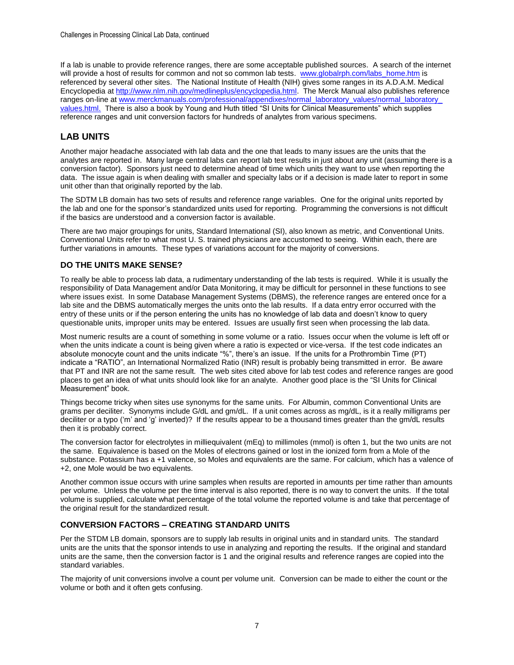If a lab is unable to provide reference ranges, there are some acceptable published sources. A search of the internet will provide a host of results for common and not so common lab tests. www.globalrph.com/labs\_home.htm is referenced by several other sites. The National Institute of Health (NIH) gives some ranges in its A.D.A.M. Medical Encyclopedia at [http://www.nlm.nih.gov/medlineplus/encyclopedia.html.](http://www.nlm.nih.gov/medlineplus/encyclopedia.html) The Merck Manual also publishes reference ranges on-line at www.merckmanuals.com/professional/appendixes/normal\_laboratory\_values/normal\_laboratory [values.html.](http://www.merckmanuals.com/professional/appendixes/normal_laboratory_values/normal_laboratory_%20values.html) There is also a book by Young and Huth titled "SI Units for Clinical Measurements" which supplies reference ranges and unit conversion factors for hundreds of analytes from various specimens.

# **LAB UNITS**

Another major headache associated with lab data and the one that leads to many issues are the units that the analytes are reported in. Many large central labs can report lab test results in just about any unit (assuming there is a conversion factor). Sponsors just need to determine ahead of time which units they want to use when reporting the data. The issue again is when dealing with smaller and specialty labs or if a decision is made later to report in some unit other than that originally reported by the lab.

The SDTM LB domain has two sets of results and reference range variables. One for the original units reported by the lab and one for the sponsor's standardized units used for reporting. Programming the conversions is not difficult if the basics are understood and a conversion factor is available.

There are two major groupings for units, Standard International (SI), also known as metric, and Conventional Units. Conventional Units refer to what most U. S. trained physicians are accustomed to seeing. Within each, there are further variations in amounts. These types of variations account for the majority of conversions.

## **DO THE UNITS MAKE SENSE?**

To really be able to process lab data, a rudimentary understanding of the lab tests is required. While it is usually the responsibility of Data Management and/or Data Monitoring, it may be difficult for personnel in these functions to see where issues exist. In some Database Management Systems (DBMS), the reference ranges are entered once for a lab site and the DBMS automatically merges the units onto the lab results. If a data entry error occurred with the entry of these units or if the person entering the units has no knowledge of lab data and doesn't know to query questionable units, improper units may be entered. Issues are usually first seen when processing the lab data.

Most numeric results are a count of something in some volume or a ratio. Issues occur when the volume is left off or when the units indicate a count is being given where a ratio is expected or vice-versa. If the test code indicates an absolute monocyte count and the units indicate "%", there's an issue. If the units for a Prothrombin Time (PT) indicate a "RATIO", an International Normalized Ratio (INR) result is probably being transmitted in error. Be aware that PT and INR are not the same result. The web sites cited above for lab test codes and reference ranges are good places to get an idea of what units should look like for an analyte. Another good place is the "SI Units for Clinical Measurement" book.

Things become tricky when sites use synonyms for the same units. For Albumin, common Conventional Units are grams per deciliter. Synonyms include G/dL and gm/dL. If a unit comes across as mg/dL, is it a really milligrams per deciliter or a typo ('m' and 'g' inverted)? If the results appear to be a thousand times greater than the gm/dL results then it is probably correct.

The conversion factor for electrolytes in milliequivalent (mEq) to millimoles (mmol) is often 1, but the two units are not the same. Equivalence is based on the Moles of electrons gained or lost in the ionized form from a Mole of the substance. Potassium has a +1 valence, so Moles and equivalents are the same. For calcium, which has a valence of +2, one Mole would be two equivalents.

Another common issue occurs with urine samples when results are reported in amounts per time rather than amounts per volume. Unless the volume per the time interval is also reported, there is no way to convert the units. If the total volume is supplied, calculate what percentage of the total volume the reported volume is and take that percentage of the original result for the standardized result.

### **CONVERSION FACTORS – CREATING STANDARD UNITS**

Per the STDM LB domain, sponsors are to supply lab results in original units and in standard units. The standard units are the units that the sponsor intends to use in analyzing and reporting the results. If the original and standard units are the same, then the conversion factor is 1 and the original results and reference ranges are copied into the standard variables.

The majority of unit conversions involve a count per volume unit. Conversion can be made to either the count or the volume or both and it often gets confusing.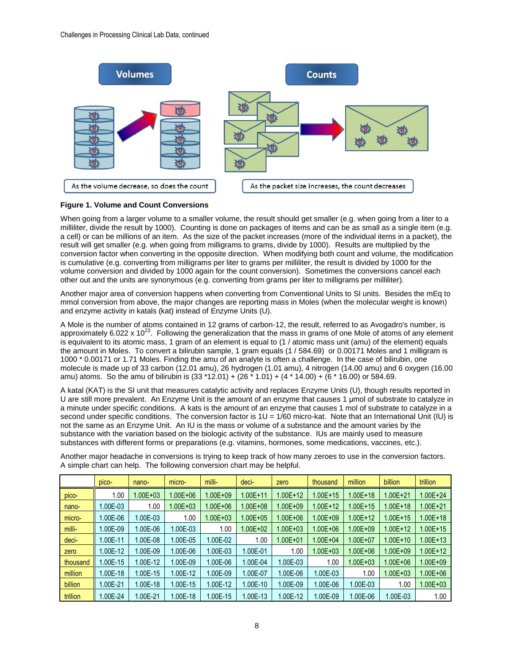

#### **Figure 1. Volume and Count Conversions**

When going from a larger volume to a smaller volume, the result should get smaller (e.g. when going from a liter to a milliliter, divide the result by 1000). Counting is done on packages of items and can be as small as a single item (e.g. a cell) or can be millions of an item. As the size of the packet increases (more of the individual items in a packet), the result will get smaller (e.g. when going from milligrams to grams, divide by 1000). Results are multiplied by the conversion factor when converting in the opposite direction. When modifying both count and volume, the modification is cumulative (e.g. converting from milligrams per liter to grams per milliliter, the result is divided by 1000 for the volume conversion and divided by 1000 again for the count conversion). Sometimes the conversions cancel each other out and the units are synonymous (e.g. converting from grams per liter to milligrams per milliliter).

Another major area of conversion happens when converting from Conventional Units to SI units. Besides the mEq to mmol conversion from above, the major changes are reporting mass in Moles (when the molecular weight is known) and enzyme activity in katals (kat) instead of Enzyme Units (U).

A Mole is the number of atoms contained in 12 grams of carbon-12, the result, referred to as Avogadro's number, is approximately 6.022 x  $10^{23}$ . Following the generalization that the mass in grams of one Mole of atoms of any element is equivalent to its atomic mass, 1 gram of an element is equal to (1 / atomic mass unit (amu) of the element) equals the amount in Moles. To convert a bilirubin sample, 1 gram equals (1 / 584.69) or 0.00171 Moles and 1 milligram is 1000 \* 0.00171 or 1.71 Moles. Finding the amu of an analyte is often a challenge. In the case of bilirubin, one molecule is made up of 33 carbon (12.01 amu), 26 hydrogen (1.01 amu), 4 nitrogen (14.00 amu) and 6 oxygen (16.00 amu) atoms. So the amu of bilirubin is (33 \*12.01) + (26 \* 1.01) + (4 \* 14.00) + (6 \* 16.00) or 584.69.

A katal (KAT) is the SI unit that measures catalytic activity and replaces Enzyme Units (U), though results reported in U are still more prevalent. An Enzyme Unit is the amount of an enzyme that causes 1 μmol of substrate to catalyze in a minute under specific conditions. A kats is the amount of an enzyme that causes 1 mol of substrate to catalyze in a second under specific conditions. The conversion factor is  $1U = 1/60$  micro-kat. Note that an International Unit (IU) is not the same as an Enzyme Unit. An IU is the mass or volume of a substance and the amount varies by the substance with the variation based on the biologic activity of the substance. IUs are mainly used to measure substances with different forms or preparations (e.g. vitamins, hormones, some medications, vaccines, etc.).

Another major headache in conversions is trying to keep track of how many zeroes to use in the conversion factors. A simple chart can help. The following conversion chart may be helpful.

|                | pico-     | nano-       | micro-       | milli-       | deci-        | zero        | thousand     | million      | billion      | trillion     |
|----------------|-----------|-------------|--------------|--------------|--------------|-------------|--------------|--------------|--------------|--------------|
| pico-          | 1.00      | $.00E + 03$ | $1.00E + 06$ | $1.00E + 09$ | $1.00E + 11$ | $.00E + 12$ | 1.00E+15     | $1.00E + 18$ | 1.00E+21     | 1.00E+24     |
| nano-          | 1.00E-03  | 1.00        | $1.00E + 03$ | $1.00E + 06$ | $1.00E + 08$ | $.00E + 09$ | 1.00E+12     | $1.00E + 15$ | 1.00E+18     | 1.00E+21     |
| micro-         | $.00E-06$ | 1.00E-03    | 1.00         | $1.00E + 03$ | $1.00E + 05$ | 1.00E+06    | 1.00E+09     | $1.00E + 12$ | 1.00E+15     | 1.00E+18     |
| milli-         | $.00E-09$ | 1.00E-06    | 1.00E-03     | 1.00         | 1.00E+02     | $.00E + 03$ | 1.00E+06     | $1.00E + 09$ | 1.00E+12     | 1.00E+15     |
| deci-          | 1.00E-11  | 1.00E-08    | 1.00E-05     | 1.00E-02     | 1.00         | $.00E + 01$ | $1.00E + 04$ | $1.00E + 07$ | $1.00E + 10$ | 1.00E+13     |
| zero           | $.00E-12$ | 1.00E-09    | 1.00E-06     | 1.00E-03     | $.00E-01$    | 1.00        | $1.00E + 03$ | $1.00E + 06$ | 1.00E+09     | $1.00E + 12$ |
| thousand       | $.00E-15$ | 1.00E-12    | 00E-09.I     | 1.00E-06     | $.00E-04$    | 1.00E-03    | 1.00         | $1.00E + 03$ | 1.00E+06     | 1.00E+09     |
| million        | $.00E-18$ | 1.00E-15    | 00E-12       | 1.00E-09     | $.00E - 07$  | 1.00E-06    | 1.00E-03     | 1.00         | 1.00E+03     | 1.00E+06     |
| <b>billion</b> | .00E-21   | 1.00E-18    | 1.00E-15     | 1.00E-12     | $.00E-10$    | 1.00E-09    | 1.00E-06     | I.00E-03     | 1.00         | $.00E + 03$  |
| trillion       | $.00E-24$ | 1.00E-21    | $.00E-18$    | 1.00E-15     | $.00E-13$    | 1.00E-12    | 1.00E-09     | $.00E-06$    | 1.00E-03     | 1.00         |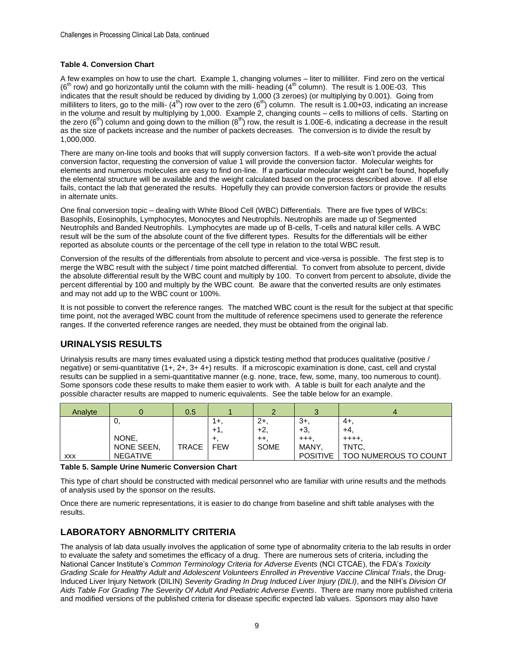#### **Table 4. Conversion Chart**

A few examples on how to use the chart. Example 1, changing volumes – liter to milliliter. Find zero on the vertical ( $6<sup>th</sup>$  row) and go horizontally until the column with the milli- heading ( $4<sup>th</sup>$  column). The result is 1.00E-03. This indicates that the result should be reduced by dividing by 1,000 (3 zeroes) (or multiplying by 0.001). Going from milliliters to liters, go to the milli- (4<sup>th</sup>) row over to the zero (6<sup>th</sup>) column. The result is 1.00+03, indicating an increase in the volume and result by multiplying by 1,000. Example 2, changing counts – cells to millions of cells. Starting on the zero ( $6<sup>th</sup>$ ) column and going down to the million ( $8<sup>th</sup>$ ) row, the result is 1.00E-6, indicating a decrease in the result as the size of packets increase and the number of packets decreases. The conversion is to divide the result by 1,000,000.

There are many on-line tools and books that will supply conversion factors. If a web-site won't provide the actual conversion factor, requesting the conversion of value 1 will provide the conversion factor. Molecular weights for elements and numerous molecules are easy to find on-line. If a particular molecular weight can't be found, hopefully the elemental structure will be available and the weight calculated based on the process described above. If all else fails, contact the lab that generated the results. Hopefully they can provide conversion factors or provide the results in alternate units.

One final conversion topic – dealing with White Blood Cell (WBC) Differentials. There are five types of WBCs: Basophils, Eosinophils, Lymphocytes, Monocytes and Neutrophils. Neutrophils are made up of Segmented Neutrophils and Banded Neutrophils. Lymphocytes are made up of B-cells, T-cells and natural killer cells. A WBC result will be the sum of the absolute count of the five different types. Results for the differentials will be either reported as absolute counts or the percentage of the cell type in relation to the total WBC result.

Conversion of the results of the differentials from absolute to percent and vice-versa is possible. The first step is to merge the WBC result with the subject / time point matched differential. To convert from absolute to percent, divide the absolute differential result by the WBC count and multiply by 100. To convert from percent to absolute, divide the percent differential by 100 and multiply by the WBC count. Be aware that the converted results are only estimates and may not add up to the WBC count or 100%.

It is not possible to convert the reference ranges. The matched WBC count is the result for the subject at that specific time point, not the averaged WBC count from the multitude of reference specimens used to generate the reference ranges. If the converted reference ranges are needed, they must be obtained from the original lab.

## **URINALYSIS RESULTS**

Urinalysis results are many times evaluated using a dipstick testing method that produces qualitative (positive / negative) or semi-quantitative (1+, 2+, 3+ 4+) results. If a microscopic examination is done, cast, cell and crystal results can be supplied in a semi-quantitative manner (e.g. none, trace, few, some, many, too numerous to count). Some sponsors code these results to make them easier to work with. A table is built for each analyte and the possible character results are mapped to numeric equivalents. See the table below for an example.

| Analyte    |                 | 0.5          |            |             |                 | 4                            |
|------------|-----------------|--------------|------------|-------------|-----------------|------------------------------|
|            | υ,              |              | ι+.        | $2+$        | $3+$            | -4+.                         |
|            |                 |              | +1,        | $+2$        | $+3$ .          | +4.                          |
|            | NONE.           |              |            | $++$ .      | $^{++}$         | $+ + + +$                    |
|            | NONE SEEN,      | <b>TRACE</b> | <b>FEW</b> | <b>SOME</b> | MANY            | TNTC,                        |
| <b>XXX</b> | <b>NEGATIVE</b> |              |            |             | <b>POSITIVE</b> | <b>TOO NUMEROUS TO COUNT</b> |

**Table 5. Sample Urine Numeric Conversion Chart**

This type of chart should be constructed with medical personnel who are familiar with urine results and the methods of analysis used by the sponsor on the results.

Once there are numeric representations, it is easier to do change from baseline and shift table analyses with the results.

## **LABORATORY ABNORMLITY CRITERIA**

The analysis of lab data usually involves the application of some type of abnormality criteria to the lab results in order to evaluate the safety and sometimes the efficacy of a drug. There are numerous sets of criteria, including the National Cancer Institute's *Common Terminology Criteria for Adverse Events* (NCI CTCAE), the FDA's *Toxicity Grading Scale for Healthy Adult and Adolescent Volunteers Enrolled in Preventive Vaccine Clinical Trials*, the Drug-Induced Liver Injury Network (DILIN) *Severity Grading In Drug Induced Liver Injury (DILI)*, and the NIH's *Division Of Aids Table For Grading The Severity Of Adult And Pediatric Adverse Events*. There are many more published criteria and modified versions of the published criteria for disease specific expected lab values. Sponsors may also have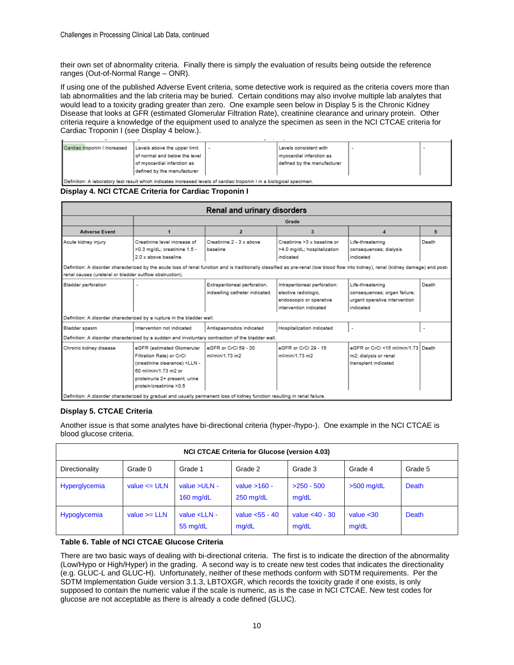their own set of abnormality criteria. Finally there is simply the evaluation of results being outside the reference ranges (Out-of-Normal Range – ONR).

If using one of the published Adverse Event criteria, some detective work is required as the criteria covers more than lab abnormalities and the lab criteria may be buried. Certain conditions may also involve multiple lab analytes that would lead to a toxicity grading greater than zero. One example seen below in Display 5 is the Chronic Kidney Disease that looks at GFR (estimated Glomerular Filtration Rate), creatinine clearance and urinary protein. Other criteria require a knowledge of the equipment used to analyze the specimen as seen in the NCI CTCAE criteria for Cardiac Troponin I (see Display 4 below.).

| Cardiac troponin I increased                                                                                          | Levels above the upper limit  |  | Levels consistent with      |  |  |  |  |  |
|-----------------------------------------------------------------------------------------------------------------------|-------------------------------|--|-----------------------------|--|--|--|--|--|
|                                                                                                                       | of normal and below the level |  | myocardial infarction as    |  |  |  |  |  |
|                                                                                                                       | of myocardial infarction as   |  | defined by the manufacturer |  |  |  |  |  |
|                                                                                                                       | defined by the manufacturer   |  |                             |  |  |  |  |  |
| Definition: A laboratory test result which indicates increased levels of cardiac troponin I in a biological specimen. |                               |  |                             |  |  |  |  |  |

**Display 4. NCI CTCAE Criteria for Cardiac Troponin I**

|                                                                                                                                                                                     |                                                                                                                           | Renal and urinary disorders   |                              |                                    |       |  |  |  |  |
|-------------------------------------------------------------------------------------------------------------------------------------------------------------------------------------|---------------------------------------------------------------------------------------------------------------------------|-------------------------------|------------------------------|------------------------------------|-------|--|--|--|--|
|                                                                                                                                                                                     |                                                                                                                           |                               | Grade                        |                                    |       |  |  |  |  |
| <b>Adverse Event</b>                                                                                                                                                                |                                                                                                                           | $\overline{2}$                | 3                            | 4                                  | 5     |  |  |  |  |
| Acute kidney injury                                                                                                                                                                 | Creatinine level increase of                                                                                              | Creatinine 2 - 3 x above      | Creatinine >3 x baseline or  | Life-threatening                   | Death |  |  |  |  |
|                                                                                                                                                                                     | >0.3 mg/dL; creatinine 1.5 -                                                                                              | baseline                      | >4.0 mg/dL; hospitalization  | consequences; dialysis             |       |  |  |  |  |
|                                                                                                                                                                                     | 2.0 x above baseline                                                                                                      |                               | indicated                    | indicated                          |       |  |  |  |  |
| Definition: A disorder characterized by the acute loss of renal function and is traditionally classified as pre-renal (low blood flow into kidney), renal (kidney damage) and post- |                                                                                                                           |                               |                              |                                    |       |  |  |  |  |
| renal causes (ureteral or bladder outflow obstruction).                                                                                                                             |                                                                                                                           |                               |                              |                                    |       |  |  |  |  |
| Bladder perforation                                                                                                                                                                 |                                                                                                                           | Extraperitoneal perforation,  | Intraperitoneal perforation; | Life-threatening                   | Death |  |  |  |  |
|                                                                                                                                                                                     |                                                                                                                           | indwelling catheter indicated | elective radiologic.         | consequences; organ failure;       |       |  |  |  |  |
|                                                                                                                                                                                     |                                                                                                                           |                               | endoscopic or operative      | urgent operative intervention      |       |  |  |  |  |
|                                                                                                                                                                                     |                                                                                                                           |                               | intervention indicated       | indicated                          |       |  |  |  |  |
|                                                                                                                                                                                     | Definition: A disorder characterized by a rupture in the bladder wall.                                                    |                               |                              |                                    |       |  |  |  |  |
| Bladder spasm                                                                                                                                                                       | Intervention not indicated                                                                                                | Antispasmodics indicated      | Hospitalization indicated    |                                    |       |  |  |  |  |
|                                                                                                                                                                                     | Definition: A disorder characterized by a sudden and involuntary contraction of the bladder wall.                         |                               |                              |                                    |       |  |  |  |  |
| Chronic kidney disease                                                                                                                                                              | eGFR (estimated Glomerular                                                                                                | eGER or CrCl 59 - 30          | eGFR or CrCl 29 - 15         | eGER or CrCl ≤15 ml/min/1.73 Death |       |  |  |  |  |
|                                                                                                                                                                                     | Filtration Rate) or CrCl                                                                                                  | ml/min/1.73 m2                | ml/min/1.73 m2               | m2; dialysis or renal              |       |  |  |  |  |
|                                                                                                                                                                                     | (creatinine clearance) <lln -<="" td=""><td></td><td></td><td>transplant indicated</td><td></td></lln>                    |                               |                              | transplant indicated               |       |  |  |  |  |
|                                                                                                                                                                                     | 60 ml/min/1.73 m2 or                                                                                                      |                               |                              |                                    |       |  |  |  |  |
|                                                                                                                                                                                     | proteinuria 2+ present; urine                                                                                             |                               |                              |                                    |       |  |  |  |  |
|                                                                                                                                                                                     | protein/creatinine >0.5                                                                                                   |                               |                              |                                    |       |  |  |  |  |
|                                                                                                                                                                                     | Definition: A disorder characterized by gradual and usually permanent loss of kidney function resulting in renal failure. |                               |                              |                                    |       |  |  |  |  |

### **Display 5. CTCAE Criteria**

Another issue is that some analytes have bi-directional criteria (hyper-/hypo-). One example in the NCI CTCAE is blood glucose criteria.

| <b>NCI CTCAE Criteria for Glucose (version 4.03)</b> |                  |                                   |                               |                            |                       |         |  |  |  |
|------------------------------------------------------|------------------|-----------------------------------|-------------------------------|----------------------------|-----------------------|---------|--|--|--|
| Directionality                                       | Grade 0          | Grade 1                           | Grade 2                       | Grade 3                    | Grade 4               | Grade 5 |  |  |  |
| Hyperglycemia                                        | value $\leq$ ULN | value $>ULN -$<br>$160$ mg/dL     | value $>160 -$<br>$250$ mg/dL | $>250 - 500$<br>mq/dL      | $>500$ mg/dL          | Death   |  |  |  |
| Hypoglycemia                                         | value $>=$ LLN   | value <lln -<br="">55 mg/dL</lln> | value $<$ 55 - 40<br>mg/dL    | value $<$ 40 - 30<br>mq/dL | value $< 30$<br>mg/dL | Death   |  |  |  |

#### **Table 6. Table of NCI CTCAE Glucose Criteria**

There are two basic ways of dealing with bi-directional criteria. The first is to indicate the direction of the abnormality (Low/Hypo or High/Hyper) in the grading. A second way is to create new test codes that indicates the directionality (e.g. GLUC-L and GLUC-H). Unfortunately, neither of these methods conform with SDTM requirements. Per the SDTM Implementation Guide version 3.1.3, LBTOXGR, which records the toxicity grade if one exists, is only supposed to contain the numeric value if the scale is numeric, as is the case in NCI CTCAE. New test codes for glucose are not acceptable as there is already a code defined (GLUC).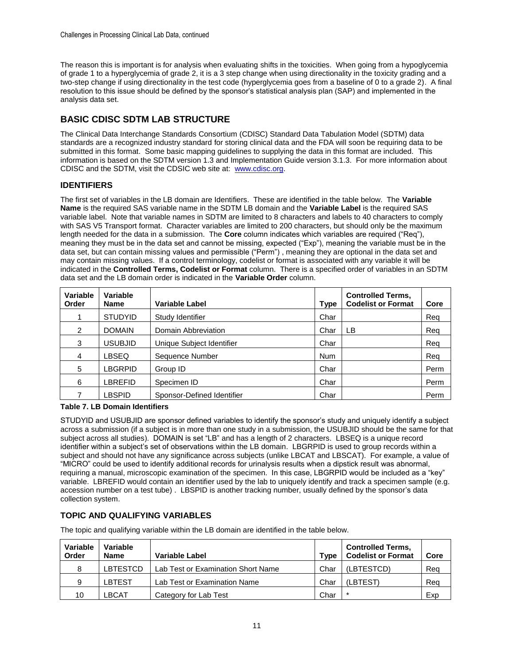The reason this is important is for analysis when evaluating shifts in the toxicities. When going from a hypoglycemia of grade 1 to a hyperglycemia of grade 2, it is a 3 step change when using directionality in the toxicity grading and a two-step change if using directionality in the test code (hyperglycemia goes from a baseline of 0 to a grade 2). A final resolution to this issue should be defined by the sponsor's statistical analysis plan (SAP) and implemented in the analysis data set.

# **BASIC CDISC SDTM LAB STRUCTURE**

The Clinical Data Interchange Standards Consortium (CDISC) Standard Data Tabulation Model (SDTM) data standards are a recognized industry standard for storing clinical data and the FDA will soon be requiring data to be submitted in this format. Some basic mapping guidelines to supplying the data in this format are included. This information is based on the SDTM version 1.3 and Implementation Guide version 3.1.3. For more information about CDISC and the SDTM, visit the CDSIC web site at: www.cdisc.org.

## **IDENTIFIERS**

The first set of variables in the LB domain are Identifiers. These are identified in the table below. The **Variable Name** is the required SAS variable name in the SDTM LB domain and the **Variable Label** is the required SAS variable label. Note that variable names in SDTM are limited to 8 characters and labels to 40 characters to comply with SAS V5 Transport format. Character variables are limited to 200 characters, but should only be the maximum length needed for the data in a submission. The **Core** column indicates which variables are required ("Req"), meaning they must be in the data set and cannot be missing, expected ("Exp"), meaning the variable must be in the data set, but can contain missing values and permissible ("Perm") , meaning they are optional in the data set and may contain missing values. If a control terminology, codelist or format is associated with any variable it will be indicated in the **Controlled Terms, Codelist or Format** column. There is a specified order of variables in an SDTM data set and the LB domain order is indicated in the **Variable Order** column.

| Variable<br>Order | Variable<br><b>Name</b> | <b>Variable Label</b>      | <b>Type</b> | <b>Controlled Terms,</b><br><b>Codelist or Format</b> | Core |
|-------------------|-------------------------|----------------------------|-------------|-------------------------------------------------------|------|
|                   | <b>STUDYID</b>          | Study Identifier           | Char        |                                                       | Reg  |
| 2                 | <b>DOMAIN</b>           | Domain Abbreviation        | Char        | LB                                                    | Reg  |
| 3                 | <b>USUBJID</b>          | Unique Subject Identifier  | Char        |                                                       | Reg  |
| 4                 | LBSEQ                   | Sequence Number            | <b>Num</b>  |                                                       | Reg  |
| 5                 | <b>LBGRPID</b>          | Group ID                   | Char        |                                                       | Perm |
| 6                 | LBREFID                 | Specimen ID                | Char        |                                                       | Perm |
| 7                 | <b>LBSPID</b>           | Sponsor-Defined Identifier | Char        |                                                       | Perm |

### **Table 7. LB Domain Identifiers**

STUDYID and USUBJID are sponsor defined variables to identify the sponsor's study and uniquely identify a subject across a submission (if a subject is in more than one study in a submission, the USUBJID should be the same for that subject across all studies). DOMAIN is set "LB" and has a length of 2 characters. LBSEQ is a unique record identifier within a subject's set of observations within the LB domain. LBGRPID is used to group records within a subject and should not have any significance across subjects (unlike LBCAT and LBSCAT). For example, a value of "MICRO" could be used to identify additional records for urinalysis results when a dipstick result was abnormal, requiring a manual, microscopic examination of the specimen. In this case, LBGRPID would be included as a "key" variable. LBREFID would contain an identifier used by the lab to uniquely identify and track a specimen sample (e.g. accession number on a test tube) . LBSPID is another tracking number, usually defined by the sponsor's data collection system.

# **TOPIC AND QUALIFYING VARIABLES**

The topic and qualifying variable within the LB domain are identified in the table below.

| Variable<br>Order | Variable<br><b>Name</b> | Variable Label                     | Type | <b>Controlled Terms,</b><br><b>Codelist or Format</b> | Core |
|-------------------|-------------------------|------------------------------------|------|-------------------------------------------------------|------|
| 8                 | LBTESTCD                | Lab Test or Examination Short Name | Char | (LBTESTCD)                                            | Reg  |
| 9                 | LBTEST                  | Lab Test or Examination Name       | Char | (LBTEST)                                              | Reg  |
| 10                | ∟BCAT                   | Category for Lab Test              | Char |                                                       | Exp  |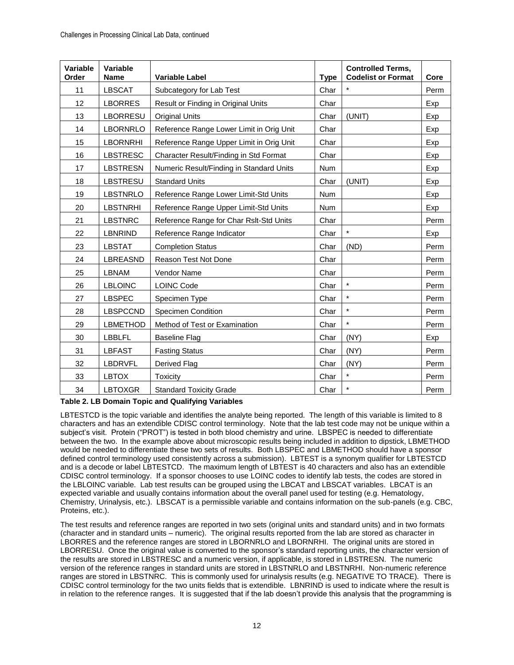| Variable<br>Order | Variable<br><b>Name</b> | <b>Variable Label</b>                    | <b>Type</b> | <b>Controlled Terms,</b><br><b>Codelist or Format</b> | Core |
|-------------------|-------------------------|------------------------------------------|-------------|-------------------------------------------------------|------|
| 11                | <b>LBSCAT</b>           | Subcategory for Lab Test                 | Char        | $\star$                                               | Perm |
| 12                | <b>LBORRES</b>          | Result or Finding in Original Units      | Char        |                                                       | Exp  |
| 13                | <b>LBORRESU</b>         | <b>Original Units</b>                    | Char        | (UNIT)                                                | Exp  |
| 14                | <b>LBORNRLO</b>         | Reference Range Lower Limit in Orig Unit | Char        |                                                       | Exp  |
| 15                | <b>LBORNRHI</b>         | Reference Range Upper Limit in Orig Unit | Char        |                                                       | Exp  |
| 16                | <b>LBSTRESC</b>         | Character Result/Finding in Std Format   | Char        |                                                       | Exp  |
| 17                | <b>LBSTRESN</b>         | Numeric Result/Finding in Standard Units | <b>Num</b>  |                                                       | Exp  |
| 18                | <b>LBSTRESU</b>         | <b>Standard Units</b>                    | Char        | (UNIT)                                                | Exp  |
| 19                | <b>LBSTNRLO</b>         | Reference Range Lower Limit-Std Units    | <b>Num</b>  |                                                       | Exp  |
| 20                | <b>LBSTNRHI</b>         | Reference Range Upper Limit-Std Units    | Num         |                                                       | Exp  |
| 21                | <b>LBSTNRC</b>          | Reference Range for Char Rslt-Std Units  | Char        |                                                       | Perm |
| 22                | <b>LBNRIND</b>          | Reference Range Indicator                | Char        | $\star$                                               | Exp  |
| 23                | <b>LBSTAT</b>           | <b>Completion Status</b>                 | Char        | (ND)                                                  | Perm |
| 24                | LBREASND                | Reason Test Not Done                     | Char        |                                                       | Perm |
| 25                | <b>LBNAM</b>            | Vendor Name                              | Char        |                                                       | Perm |
| 26                | <b>LBLOINC</b>          | <b>LOINC Code</b>                        | Char        | $\star$                                               | Perm |
| 27                | <b>LBSPEC</b>           | Specimen Type                            | Char        | $\star$                                               | Perm |
| 28                | <b>LBSPCCND</b>         | <b>Specimen Condition</b>                | Char        | $\star$                                               | Perm |
| 29                | <b>LBMETHOD</b>         | Method of Test or Examination            | Char        | $\star$                                               | Perm |
| 30                | <b>LBBLFL</b>           | <b>Baseline Flag</b>                     | Char        | (NY)                                                  | Exp  |
| 31                | <b>LBFAST</b>           | <b>Fasting Status</b>                    | Char        | (NY)                                                  | Perm |
| 32                | <b>LBDRVFL</b>          | Derived Flag                             | Char        | (NY)                                                  | Perm |
| 33                | <b>LBTOX</b>            | <b>Toxicity</b>                          | Char        | $\star$                                               | Perm |
| 34                | <b>LBTOXGR</b>          | <b>Standard Toxicity Grade</b>           | Char        | $\star$                                               | Perm |

**Table 2. LB Domain Topic and Qualifying Variables**

LBTESTCD is the topic variable and identifies the analyte being reported. The length of this variable is limited to 8 characters and has an extendible CDISC control terminology. Note that the lab test code may not be unique within a subject's visit. Protein ("PROT") is tested in both blood chemistry and urine. LBSPEC is needed to differentiate between the two. In the example above about microscopic results being included in addition to dipstick, LBMETHOD would be needed to differentiate these two sets of results. Both LBSPEC and LBMETHOD should have a sponsor defined control terminology used consistently across a submission). LBTEST is a synonym qualifier for LBTESTCD and is a decode or label LBTESTCD. The maximum length of LBTEST is 40 characters and also has an extendible CDISC control terminology. If a sponsor chooses to use LOINC codes to identify lab tests, the codes are stored in the LBLOINC variable. Lab test results can be grouped using the LBCAT and LBSCAT variables. LBCAT is an expected variable and usually contains information about the overall panel used for testing (e.g. Hematology, Chemistry, Urinalysis, etc.). LBSCAT is a permissible variable and contains information on the sub-panels (e.g. CBC, Proteins, etc.).

The test results and reference ranges are reported in two sets (original units and standard units) and in two formats (character and in standard units – numeric). The original results reported from the lab are stored as character in LBORRES and the reference ranges are stored in LBORNRLO and LBORNRHI. The original units are stored in LBORRESU. Once the original value is converted to the sponsor's standard reporting units, the character version of the results are stored in LBSTRESC and a numeric version, if applicable, is stored in LBSTRESN. The numeric version of the reference ranges in standard units are stored in LBSTNRLO and LBSTNRHI. Non-numeric reference ranges are stored in LBSTNRC. This is commonly used for urinalysis results (e.g. NEGATIVE TO TRACE). There is CDISC control terminology for the two units fields that is extendible. LBNRIND is used to indicate where the result is in relation to the reference ranges. It is suggested that if the lab doesn't provide this analysis that the programming is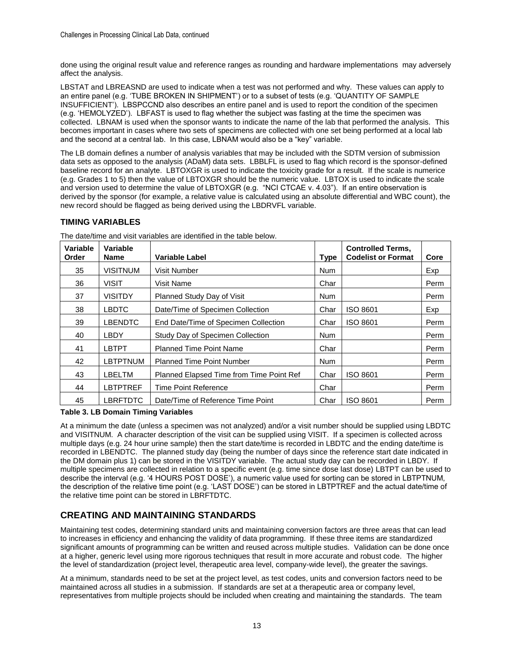done using the original result value and reference ranges as rounding and hardware implementations may adversely affect the analysis.

LBSTAT and LBREASND are used to indicate when a test was not performed and why. These values can apply to an entire panel (e.g. 'TUBE BROKEN IN SHIPMENT') or to a subset of tests (e.g. 'QUANTITY OF SAMPLE INSUFFICIENT'). LBSPCCND also describes an entire panel and is used to report the condition of the specimen (e.g. 'HEMOLYZED'). LBFAST is used to flag whether the subject was fasting at the time the specimen was collected. LBNAM is used when the sponsor wants to indicate the name of the lab that performed the analysis. This becomes important in cases where two sets of specimens are collected with one set being performed at a local lab and the second at a central lab. In this case, LBNAM would also be a "key" variable.

The LB domain defines a number of analysis variables that may be included with the SDTM version of submission data sets as opposed to the analysis (ADaM) data sets. LBBLFL is used to flag which record is the sponsor-defined baseline record for an analyte. LBTOXGR is used to indicate the toxicity grade for a result. If the scale is numerice (e.g. Grades 1 to 5) then the value of LBTOXGR should be the numeric value. LBTOX is used to indicate the scale and version used to determine the value of LBTOXGR (e.g. "NCI CTCAE v. 4.03"). If an entire observation is derived by the sponsor (for example, a relative value is calculated using an absolute differential and WBC count), the new record should be flagged as being derived using the LBDRVFL variable.

### **TIMING VARIABLES**

| Variable<br>Order | Variable<br><b>Name</b> | Variable Label                           | <b>Type</b> | <b>Controlled Terms,</b><br><b>Codelist or Format</b> | Core |
|-------------------|-------------------------|------------------------------------------|-------------|-------------------------------------------------------|------|
| 35                | <b>VISITNUM</b>         | Visit Number                             | <b>Num</b>  |                                                       | Exp  |
| 36                | VISIT                   | Visit Name                               | Char        |                                                       | Perm |
| 37                | <b>VISITDY</b>          | Planned Study Day of Visit               | <b>Num</b>  |                                                       | Perm |
| 38                | <b>LBDTC</b>            | Date/Time of Specimen Collection         | Char        | ISO 8601                                              | Exp  |
| 39                | <b>LBENDTC</b>          | End Date/Time of Specimen Collection     | Char        | ISO 8601                                              | Perm |
| 40                | LBDY                    | Study Day of Specimen Collection         | <b>Num</b>  |                                                       | Perm |
| 41                | <b>LBTPT</b>            | <b>Planned Time Point Name</b>           | Char        |                                                       | Perm |
| 42                | <b>LBTPTNUM</b>         | <b>Planned Time Point Number</b>         | <b>Num</b>  |                                                       | Perm |
| 43                | LBELTM                  | Planned Elapsed Time from Time Point Ref | Char        | <b>ISO 8601</b>                                       | Perm |
| 44                | LBTPTREF                | <b>Time Point Reference</b>              | Char        |                                                       | Perm |
| 45                | LBRFTDTC                | Date/Time of Reference Time Point        | Char        | ISO 8601                                              | Perm |

The date/time and visit variables are identified in the table below.

#### **Table 3. LB Domain Timing Variables**

At a minimum the date (unless a specimen was not analyzed) and/or a visit number should be supplied using LBDTC and VISITNUM. A character description of the visit can be supplied using VISIT. If a specimen is collected across multiple days (e.g. 24 hour urine sample) then the start date/time is recorded in LBDTC and the ending date/time is recorded in LBENDTC. The planned study day (being the number of days since the reference start date indicated in the DM domain plus 1) can be stored in the VISITDY variable. The actual study day can be recorded in LBDY. If multiple specimens are collected in relation to a specific event (e.g. time since dose last dose) LBTPT can be used to describe the interval (e.g. '4 HOURS POST DOSE'), a numeric value used for sorting can be stored in LBTPTNUM, the description of the relative time point (e.g. 'LAST DOSE') can be stored in LBTPTREF and the actual date/time of the relative time point can be stored in LBRFTDTC.

## **CREATING AND MAINTAINING STANDARDS**

Maintaining test codes, determining standard units and maintaining conversion factors are three areas that can lead to increases in efficiency and enhancing the validity of data programming. If these three items are standardized significant amounts of programming can be written and reused across multiple studies. Validation can be done once at a higher, generic level using more rigorous techniques that result in more accurate and robust code. The higher the level of standardization (project level, therapeutic area level, company-wide level), the greater the savings.

At a minimum, standards need to be set at the project level, as test codes, units and conversion factors need to be maintained across all studies in a submission. If standards are set at a therapeutic area or company level, representatives from multiple projects should be included when creating and maintaining the standards. The team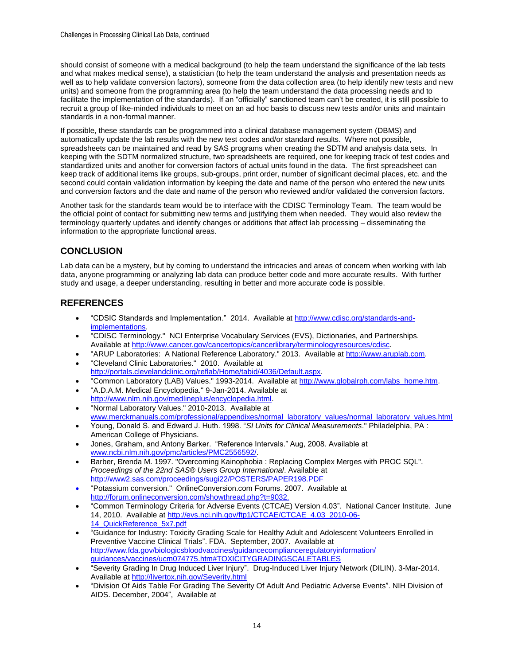should consist of someone with a medical background (to help the team understand the significance of the lab tests and what makes medical sense), a statistician (to help the team understand the analysis and presentation needs as well as to help validate conversion factors), someone from the data collection area (to help identify new tests and new units) and someone from the programming area (to help the team understand the data processing needs and to facilitate the implementation of the standards). If an "officially" sanctioned team can't be created, it is still possible to recruit a group of like-minded individuals to meet on an ad hoc basis to discuss new tests and/or units and maintain standards in a non-formal manner.

If possible, these standards can be programmed into a clinical database management system (DBMS) and automatically update the lab results with the new test codes and/or standard results. Where not possible, spreadsheets can be maintained and read by SAS programs when creating the SDTM and analysis data sets. In keeping with the SDTM normalized structure, two spreadsheets are required, one for keeping track of test codes and standardized units and another for conversion factors of actual units found in the data. The first spreadsheet can keep track of additional items like groups, sub-groups, print order, number of significant decimal places, etc. and the second could contain validation information by keeping the date and name of the person who entered the new units and conversion factors and the date and name of the person who reviewed and/or validated the conversion factors.

Another task for the standards team would be to interface with the CDISC Terminology Team. The team would be the official point of contact for submitting new terms and justifying them when needed. They would also review the terminology quarterly updates and identify changes or additions that affect lab processing – disseminating the information to the appropriate functional areas.

# **CONCLUSION**

Lab data can be a mystery, but by coming to understand the intricacies and areas of concern when working with lab data, anyone programming or analyzing lab data can produce better code and more accurate results. With further study and usage, a deeper understanding, resulting in better and more accurate code is possible.

# **REFERENCES**

- "CDSIC Standards and Implementation." 2014. Available at http://www.cdisc.org/standards-andimplementations.
- "CDISC Terminology." NCI Enterprise Vocabulary Services (EVS), Dictionaries, and Partnerships. Available at http://www.cancer.gov/cancertopics/cancerlibrary/terminologyresources/cdisc.
- "ARUP Laboratories: A National Reference Laboratory." 2013. Available at http://www.aruplab.com. "Cleveland Clinic Laboratories." 2010. Available at
- http://portals.clevelandclinic.org/reflab/Home/tabid/4036/Default.aspx.
- "Common Laboratory (LAB) Values." 1993-2014. Available at http://www.globalrph.com/labs\_home.htm.
- "A.D.A.M. Medical Encyclopedia." 9-Jan-2014. Available at http://www.nlm.nih.gov/medlineplus/encyclopedia.html.
- "Normal Laboratory Values." 2010-2013. Available at www.merckmanuals.com/professional/appendixes/normal\_laboratory\_values/normal\_laboratory\_values.html
- Young, Donald S. and Edward J. Huth. 1998. "*SI Units for Clinical Measurements*." Philadelphia, PA : American College of Physicians.
- Jones, Graham, and Antony Barker. "Reference Intervals." Aug, 2008. Available at [www.ncbi.nlm.nih.gov/pmc/articles/PMC2556592/.](http://www.ncbi.nlm.nih.gov/pmc/articles/PMC2556592/)
- Barber, Brenda M. 1997. "Overcoming Kainophobia : Replacing Complex Merges with PROC SQL". *Proceedings of the 22nd SAS® Users Group International*. Available at http://www2.sas.com/proceedings/sugi22/POSTERS/PAPER198.PDF
- "Potassium conversion." OnlineConversion.com Forums. 2007. Available at http://forum.onlineconversion.com/showthread.php?t=9032.
- "Common Terminology Criteria for Adverse Events (CTCAE) Version 4.03". National Cancer Institute. June 14, 2010. Available at http://evs.nci.nih.gov/ftp1/CTCAE/CTCAE\_4.03\_2010-06- 14\_QuickReference\_5x7.pdf
- "Guidance for Industry: Toxicity Grading Scale for Healthy Adult and Adolescent Volunteers Enrolled in Preventive Vaccine Clinical Trials". FDA. September, 2007. Available at http://www.fda.gov/biologicsbloodvaccines/guidancecomplianceregulatoryinformation/ guidances/vaccines/ucm074775.htm#TOXICITYGRADINGSCALETABLES
- "Severity Grading In Drug Induced Liver Injury". Drug-Induced Liver Injury Network (DILIN). 3-Mar-2014. Available at http://livertox.nih.gov/Severity.html
- "Division Of Aids Table For Grading The Severity Of Adult And Pediatric Adverse Events". NIH Division of AIDS. December, 2004", Available at